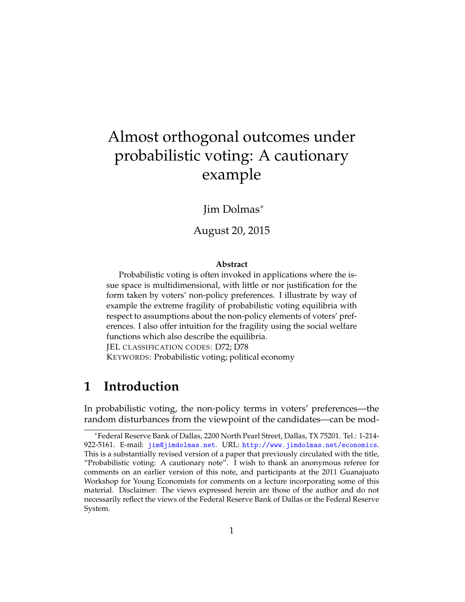# Almost orthogonal outcomes under probabilistic voting: A cautionary example

Jim Dolmas<sup>∗</sup>

August 20, 2015

#### **Abstract**

Probabilistic voting is often invoked in applications where the issue space is multidimensional, with little or nor justification for the form taken by voters' non-policy preferences. I illustrate by way of example the extreme fragility of probabilistic voting equilibria with respect to assumptions about the non-policy elements of voters' preferences. I also offer intuition for the fragility using the social welfare functions which also describe the equilibria. JEL CLASSIFICATION CODES: D72; D78 KEYWORDS: Probabilistic voting; political economy

## **1 Introduction**

In probabilistic voting, the non-policy terms in voters' preferences—the random disturbances from the viewpoint of the candidates—can be mod-

<sup>∗</sup>Federal Reserve Bank of Dallas, 2200 North Pearl Street, Dallas, TX 75201. Tel.: 1-214- 922-5161. E-mail: [jim@jimdolmas.net](mailto:jim@jimdolmas.net). URL: <http://www.jimdolmas.net/economics>. This is a substantially revised version of a paper that previously circulated with the title, "Probabilistic voting: A cautionary note". I wish to thank an anonymous referee for comments on an earlier version of this note, and participants at the 2011 Guanajuato Workshop for Young Economists for comments on a lecture incorporating some of this material. Disclaimer: The views expressed herein are those of the author and do not necessarily reflect the views of the Federal Reserve Bank of Dallas or the Federal Reserve System.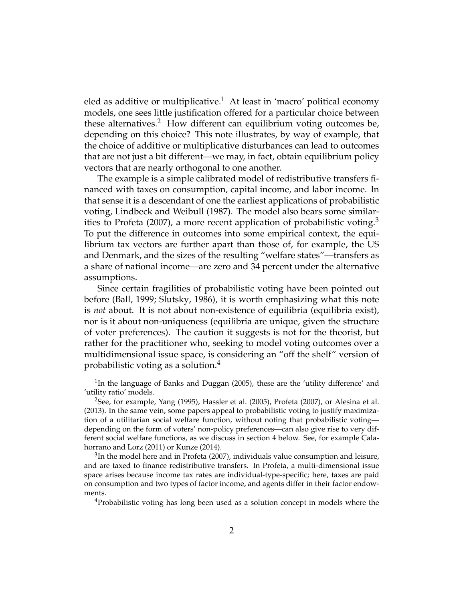eled as additive or multiplicative.<sup>1</sup> At least in 'macro' political economy models, one sees little justification offered for a particular choice between these alternatives.<sup>2</sup> How different can equilibrium voting outcomes be, depending on this choice? This note illustrates, by way of example, that the choice of additive or multiplicative disturbances can lead to outcomes that are not just a bit different—we may, in fact, obtain equilibrium policy vectors that are nearly orthogonal to one another.

The example is a simple calibrated model of redistributive transfers financed with taxes on consumption, capital income, and labor income. In that sense it is a descendant of one the earliest applications of probabilistic voting, [Lindbeck and Weibull](#page-9-0) [\(1987\)](#page-9-0). The model also bears some similar-ities to [Profeta](#page-9-1) [\(2007\)](#page-9-1), a more recent application of probabilistic voting.<sup>3</sup> To put the difference in outcomes into some empirical context, the equilibrium tax vectors are further apart than those of, for example, the US and Denmark, and the sizes of the resulting "welfare states"—transfers as a share of national income—are zero and 34 percent under the alternative assumptions.

Since certain fragilities of probabilistic voting have been pointed out before [\(Ball,](#page-8-0) [1999;](#page-8-0) [Slutsky,](#page-9-2) [1986\)](#page-9-2), it is worth emphasizing what this note is *not* about. It is not about non-existence of equilibria (equilibria exist), nor is it about non-uniqueness (equilibria are unique, given the structure of voter preferences). The caution it suggests is not for the theorist, but rather for the practitioner who, seeking to model voting outcomes over a multidimensional issue space, is considering an "off the shelf" version of probabilistic voting as a solution.<sup>4</sup>

 ${}^{3}$ In the model here and in [Profeta](#page-9-1) [\(2007\)](#page-9-1), individuals value consumption and leisure, and are taxed to finance redistributive transfers. In Profeta, a multi-dimensional issue space arises because income tax rates are individual-type-specific; here, taxes are paid on consumption and two types of factor income, and agents differ in their factor endowments.

<sup>4</sup>Probabilistic voting has long been used as a solution concept in models where the

<sup>&</sup>lt;sup>1</sup>In the language of [Banks and Duggan](#page-8-1) [\(2005\)](#page-8-1), these are the 'utility difference' and 'utility ratio' models.

<sup>&</sup>lt;sup>2</sup>See, for example, [Yang](#page-9-3) [\(1995\)](#page-9-3), [Hassler et al.](#page-9-4) [\(2005\)](#page-9-4), [Profeta](#page-9-1) [\(2007\)](#page-9-1), or [Alesina et al.](#page-8-2) [\(2013\)](#page-8-2). In the same vein, some papers appeal to probabilistic voting to justify maximization of a utilitarian social welfare function, without noting that probabilistic voting depending on the form of voters' non-policy preferences—can also give rise to very different social welfare functions, as we discuss in section [4](#page-7-0) below. See, for example [Cala](#page-8-3)[horrano and Lorz](#page-8-3) [\(2011\)](#page-8-3) or [Kunze](#page-9-5) [\(2014\)](#page-9-5).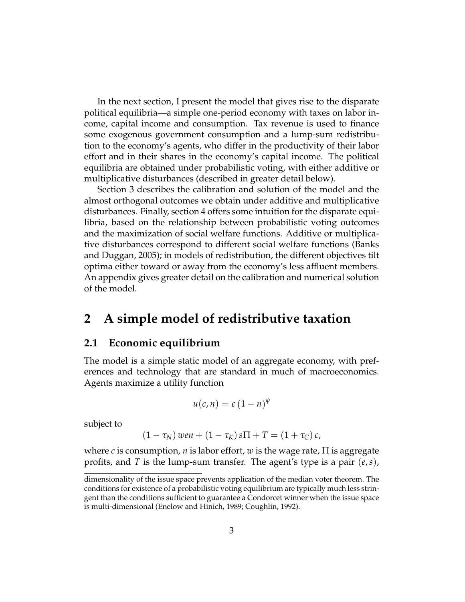In the next section, I present the model that gives rise to the disparate political equilibria—a simple one-period economy with taxes on labor income, capital income and consumption. Tax revenue is used to finance some exogenous government consumption and a lump-sum redistribution to the economy's agents, who differ in the productivity of their labor effort and in their shares in the economy's capital income. The political equilibria are obtained under probabilistic voting, with either additive or multiplicative disturbances (described in greater detail below).

Section [3](#page-5-0) describes the calibration and solution of the model and the almost orthogonal outcomes we obtain under additive and multiplicative disturbances. Finally, section [4](#page-7-0) offers some intuition for the disparate equilibria, based on the relationship between probabilistic voting outcomes and the maximization of social welfare functions. Additive or multiplicative disturbances correspond to different social welfare functions [\(Banks](#page-8-1) [and Duggan,](#page-8-1) [2005\)](#page-8-1); in models of redistribution, the different objectives tilt optima either toward or away from the economy's less affluent members. An appendix gives greater detail on the calibration and numerical solution of the model.

### **2 A simple model of redistributive taxation**

### **2.1 Economic equilibrium**

The model is a simple static model of an aggregate economy, with preferences and technology that are standard in much of macroeconomics. Agents maximize a utility function

$$
u(c,n) = c (1-n)^{\phi}
$$

subject to

$$
(1-\tau_N) \text{ we } n + (1-\tau_K) \text{ s}\Pi + T = (1+\tau_C) \text{ c},
$$

where *c* is consumption, *n* is labor effort, *w* is the wage rate, Π is aggregate profits, and *T* is the lump-sum transfer. The agent's type is a pair (*e*,*s*),

dimensionality of the issue space prevents application of the median voter theorem. The conditions for existence of a probabilistic voting equilibrium are typically much less stringent than the conditions sufficient to guarantee a Condorcet winner when the issue space is multi-dimensional [\(Enelow and Hinich,](#page-9-6) [1989;](#page-9-6) [Coughlin,](#page-9-7) [1992\)](#page-9-7).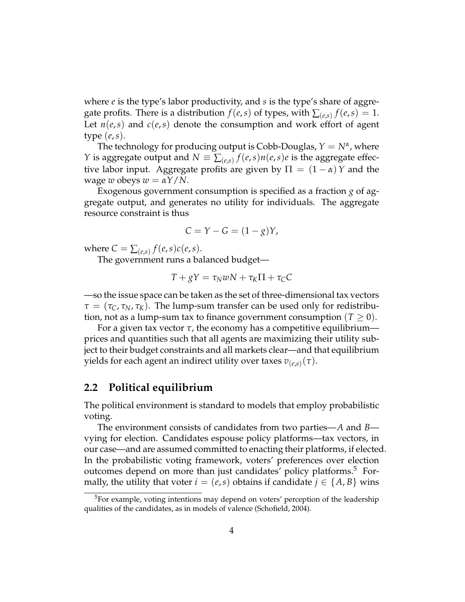where *e* is the type's labor productivity, and *s* is the type's share of aggregate profits. There is a distribution  $f(e, s)$  of types, with  $\sum_{(e, s)} f(e, s) = 1$ . Let  $n(e, s)$  and  $c(e, s)$  denote the consumption and work effort of agent type (*e*,*s*).

The technology for producing output is Cobb-Douglas,  $Y = N^{\alpha}$ , where *Y* is aggregate output and  $N \equiv \sum_{(e,s)} f(e,s) n(e,s) e$  is the aggregate effective labor input. Aggregate profits are given by  $\Pi = (1 - \alpha)Y$  and the *wage w* obeys  $w = \alpha Y/N$ .

Exogenous government consumption is specified as a fraction *g* of aggregate output, and generates no utility for individuals. The aggregate resource constraint is thus

$$
C = Y - G = (1 - g)Y,
$$

where  $C = \sum_{(e,s)} f(e,s)c(e,s)$ .

The government runs a balanced budget—

$$
T + gY = \tau_N wN + \tau_K \Pi + \tau_C C
$$

—so the issue space can be taken as the set of three-dimensional tax vectors  $\tau = (\tau_C, \tau_N, \tau_K)$ . The lump-sum transfer can be used only for redistribution, not as a lump-sum tax to finance government consumption  $(T \geq 0)$ .

For a given tax vector  $\tau$ , the economy has a competitive equilibrium prices and quantities such that all agents are maximizing their utility subject to their budget constraints and all markets clear—and that equilibrium  $y$ ields for each agent an indirect utility over taxes  $v_{(e,s)}(\tau).$ 

#### <span id="page-3-0"></span>**2.2 Political equilibrium**

The political environment is standard to models that employ probabilistic voting.

The environment consists of candidates from two parties—*A* and *B* vying for election. Candidates espouse policy platforms—tax vectors, in our case—and are assumed committed to enacting their platforms, if elected. In the probabilistic voting framework, voters' preferences over election outcomes depend on more than just candidates' policy platforms.<sup>5</sup> Formally, the utility that voter  $i = (e, s)$  obtains if candidate  $j \in \{A, B\}$  wins

<sup>&</sup>lt;sup>5</sup>For example, voting intentions may depend on voters' perception of the leadership qualities of the candidates, as in models of valence [\(Schofield,](#page-9-8) [2004\)](#page-9-8).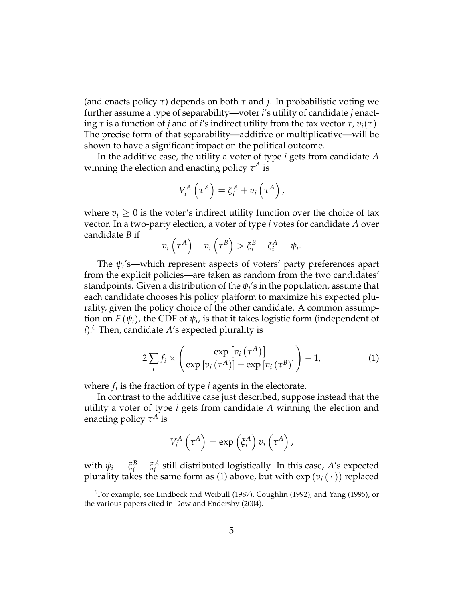(and enacts policy *τ*) depends on both *τ* and *j*. In probabilistic voting we further assume a type of separability—voter *i*'s utility of candidate *j* enacting  $\tau$  is a function of *j* and of *i*'s indirect utility from the tax vector  $\tau$ ,  $v_i(\tau)$ . The precise form of that separability—additive or multiplicative—will be shown to have a significant impact on the political outcome.

In the additive case, the utility a voter of type *i* gets from candidate *A* winning the election and enacting policy  $\tau^A$  is

$$
V_i^A\left(\tau^A\right)=\xi_i^A+v_i\left(\tau^A\right),
$$

where  $v_i \geq 0$  is the voter's indirect utility function over the choice of tax vector. In a two-party election, a voter of type *i* votes for candidate *A* over candidate *B* if

$$
v_i\left(\tau^A\right)-v_i\left(\tau^B\right)>\xi_i^B-\xi_i^A\equiv\psi_i.
$$

The *ψ<sup>i</sup>* 's—which represent aspects of voters' party preferences apart from the explicit policies—are taken as random from the two candidates' standpoints. Given a distribution of the  $\psi_i$ 's in the population, assume that each candidate chooses his policy platform to maximize his expected plurality, given the policy choice of the other candidate. A common assumption on  $F(\psi_i)$ , the CDF of  $\psi_i$ , is that it takes logistic form (independent of *i*).<sup>6</sup> Then, candidate *A*'s expected plurality is

<span id="page-4-0"></span>
$$
2\sum_{i} f_{i} \times \left( \frac{\exp\left[v_{i}\left(\tau^{A}\right)\right]}{\exp\left[v_{i}\left(\tau^{A}\right)\right] + \exp\left[v_{i}\left(\tau^{B}\right)\right]} \right) - 1, \tag{1}
$$

where  $f_i$  is the fraction of type  $i$  agents in the electorate.

In contrast to the additive case just described, suppose instead that the utility a voter of type *i* gets from candidate *A* winning the election and enacting policy  $\tau^A$  is

$$
V_i^A\left(\tau^A\right)=\exp\left(\xi_i^A\right)v_i\left(\tau^A\right),\,
$$

with  $\psi_i \equiv \xi_i^B - \xi_i^A$ *i* still distributed logistically. In this case, *A*'s expected plurality takes the same form as [\(1\)](#page-4-0) above, but with  $\exp(v_i(\cdot))$  replaced

 ${}^{6}$ For example, see [Lindbeck and Weibull](#page-9-0) [\(1987\)](#page-9-0), [Coughlin](#page-9-7) [\(1992\)](#page-9-7), and [Yang](#page-9-3) [\(1995\)](#page-9-3), or the various papers cited in [Dow and Endersby](#page-9-9) [\(2004\)](#page-9-9).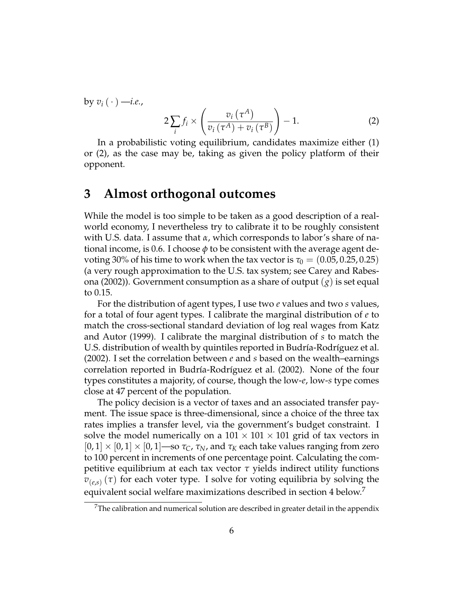by  $v_i(\cdot)$  —*i.e.*,

<span id="page-5-1"></span>
$$
2\sum_{i} f_{i} \times \left(\frac{v_{i}\left(\tau^{A}\right)}{v_{i}\left(\tau^{A}\right) + v_{i}\left(\tau^{B}\right)}\right) - 1.
$$
 (2)

In a probabilistic voting equilibrium, candidates maximize either [\(1\)](#page-4-0) or [\(2\)](#page-5-1), as the case may be, taking as given the policy platform of their opponent.

### <span id="page-5-0"></span>**3 Almost orthogonal outcomes**

While the model is too simple to be taken as a good description of a realworld economy, I nevertheless try to calibrate it to be roughly consistent with U.S. data. I assume that *α*, which corresponds to labor's share of national income, is 0.6. I choose *φ* to be consistent with the average agent devoting 30% of his time to work when the tax vector is  $\tau_0 = (0.05, 0.25, 0.25)$ (a very rough approximation to the U.S. tax system; see [Carey and Rabes](#page-8-4)[ona](#page-8-4) [\(2002\)](#page-8-4)). Government consumption as a share of output (*g*) is set equal to 0.15.

For the distribution of agent types, I use two *e* values and two *s* values, for a total of four agent types. I calibrate the marginal distribution of *e* to match the cross-sectional standard deviation of log real wages from [Katz](#page-9-10) [and Autor](#page-9-10) [\(1999\)](#page-9-10). I calibrate the marginal distribution of *s* to match the U.S. distribution of wealth by quintiles reported in Budría-Rodríguez et al. [\(2002\)](#page-8-5). I set the correlation between *e* and *s* based on the wealth–earnings correlation reported in Budría-Rodríguez et al. [\(2002\)](#page-8-5). None of the four types constitutes a majority, of course, though the low-*e*, low-*s* type comes close at 47 percent of the population.

The policy decision is a vector of taxes and an associated transfer payment. The issue space is three-dimensional, since a choice of the three tax rates implies a transfer level, via the government's budget constraint. I solve the model numerically on a  $101 \times 101 \times 101$  grid of tax vectors in  $[0, 1] \times [0, 1] \times [0, 1]$ —so  $\tau_C$ ,  $\tau_N$ , and  $\tau_K$  each take values ranging from zero to 100 percent in increments of one percentage point. Calculating the competitive equilibrium at each tax vector *τ* yields indirect utility functions *v*(*e*,*s*) (*τ*) for each voter type. I solve for voting equilibria by solving the equivalent social welfare maximizations described in section [4](#page-7-0) below.<sup>7</sup>

 $7$ The calibration and numerical solution are described in greater detail in the appendix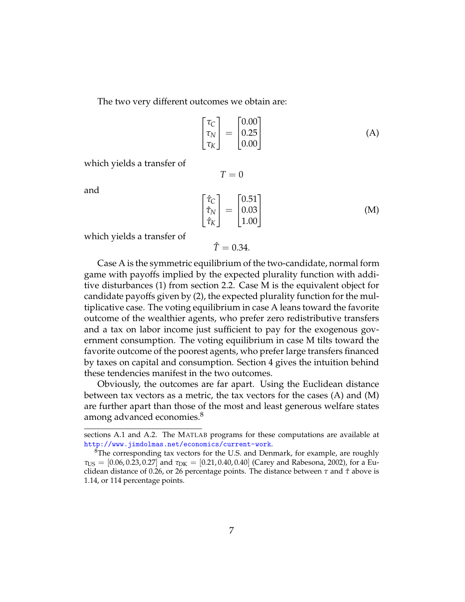The two very different outcomes we obtain are:

<span id="page-6-0"></span>
$$
\begin{bmatrix} \tau_C \\ \tau_N \\ \tau_K \end{bmatrix} = \begin{bmatrix} 0.00 \\ 0.25 \\ 0.00 \end{bmatrix}
$$
 (A)

which yields a transfer of

$$
T = 0
$$

and

$$
\begin{bmatrix} \hat{\tau}_C\\ \hat{\tau}_N\\ \hat{\tau}_K \end{bmatrix} = \begin{bmatrix} 0.51\\ 0.03\\ 1.00 \end{bmatrix}
$$
 (M)

which yields a transfer of

$$
\hat{T}=0.34.
$$

Case [A](#page-6-0) is the symmetric equilibrium of the two-candidate, normal form game with payoffs implied by the expected plurality function with additive disturbances [\(1\)](#page-4-0) from section [2.2.](#page-3-0) Case [M](#page-6-0) is the equivalent object for candidate payoffs given by [\(2\)](#page-5-1), the expected plurality function for the multiplicative case. The voting equilibrium in case [A](#page-6-0) leans toward the favorite outcome of the wealthier agents, who prefer zero redistributive transfers and a tax on labor income just sufficient to pay for the exogenous government consumption. The voting equilibrium in case [M](#page-6-0) tilts toward the favorite outcome of the poorest agents, who prefer large transfers financed by taxes on capital and consumption. Section [4](#page-7-0) gives the intuition behind these tendencies manifest in the two outcomes.

Obviously, the outcomes are far apart. Using the Euclidean distance between tax vectors as a metric, the tax vectors for the cases [\(A\)](#page-6-0) and [\(M\)](#page-6-0) are further apart than those of the most and least generous welfare states among advanced economies.<sup>8</sup>

sections [A.1](#page-10-0) and [A.2.](#page-11-0) The MATLAB programs for these computations are available at <http://www.jimdolmas.net/economics/current-work>.

 ${}^{8}$ The corresponding tax vectors for the U.S. and Denmark, for example, are roughly  $\tau_{\text{US}} = [0.06, 0.23, 0.27]$  and  $\tau_{\text{DK}} = [0.21, 0.40, 0.40]$  [\(Carey and Rabesona,](#page-8-4) [2002\)](#page-8-4), for a Euclidean distance of 0.26, or 26 percentage points. The distance between *τ* and *τ*ˆ above is 1.14, or 114 percentage points.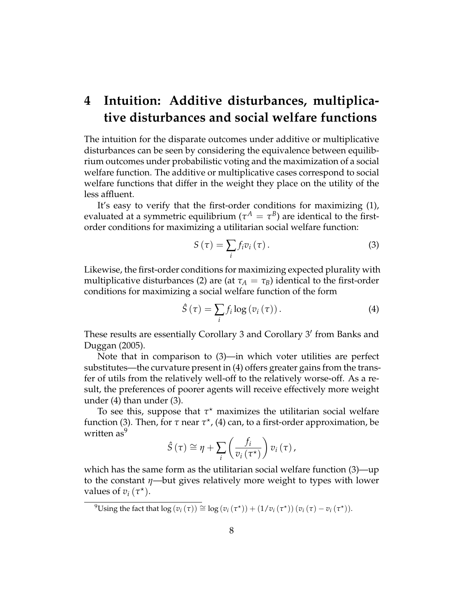## <span id="page-7-0"></span>**4 Intuition: Additive disturbances, multiplicative disturbances and social welfare functions**

The intuition for the disparate outcomes under additive or multiplicative disturbances can be seen by considering the equivalence between equilibrium outcomes under probabilistic voting and the maximization of a social welfare function. The additive or multiplicative cases correspond to social welfare functions that differ in the weight they place on the utility of the less affluent.

It's easy to verify that the first-order conditions for maximizing [\(1\)](#page-4-0), evaluated at a symmetric equilibrium ( $\tau^A = \tau^B$ ) are identical to the firstorder conditions for maximizing a utilitarian social welfare function:

<span id="page-7-2"></span><span id="page-7-1"></span>
$$
S\left(\tau\right) = \sum_{i} f_i v_i\left(\tau\right). \tag{3}
$$

Likewise, the first-order conditions for maximizing expected plurality with multiplicative disturbances [\(2\)](#page-5-1) are (at  $\tau_A = \tau_B$ ) identical to the first-order conditions for maximizing a social welfare function of the form

$$
\hat{S}(\tau) = \sum_{i} f_i \log \left( v_i(\tau) \right). \tag{4}
$$

These results are essentially Corollary 3 and Corollary 3' from [Banks and](#page-8-1) [Duggan](#page-8-1) [\(2005\)](#page-8-1).

Note that in comparison to [\(3\)](#page-7-1)—in which voter utilities are perfect substitutes—the curvature present in [\(4\)](#page-7-2) offers greater gains from the transfer of utils from the relatively well-off to the relatively worse-off. As a result, the preferences of poorer agents will receive effectively more weight under [\(4\)](#page-7-2) than under [\(3\)](#page-7-1).

To see this, suppose that  $\tau^*$  maximizes the utilitarian social welfare function [\(3\)](#page-7-1). Then, for *τ* near *τ*<sup>\*</sup>, [\(4\)](#page-7-2) can, to a first-order approximation, be written as<sup>9</sup>

$$
\hat{S}(\tau) \cong \eta + \sum_{i} \left( \frac{f_i}{v_i(\tau^*)} \right) v_i(\tau),
$$

which has the same form as the utilitarian social welfare function [\(3\)](#page-7-1)—up to the constant *η*—but gives relatively more weight to types with lower values of  $v_i(\tau^*)$ .

 $^{9}$ Using the fact that  $\log (v_i(\tau)) \cong \log (v_i(\tau^*)) + (1/v_i(\tau^*)) (v_i(\tau) - v_i(\tau^*)).$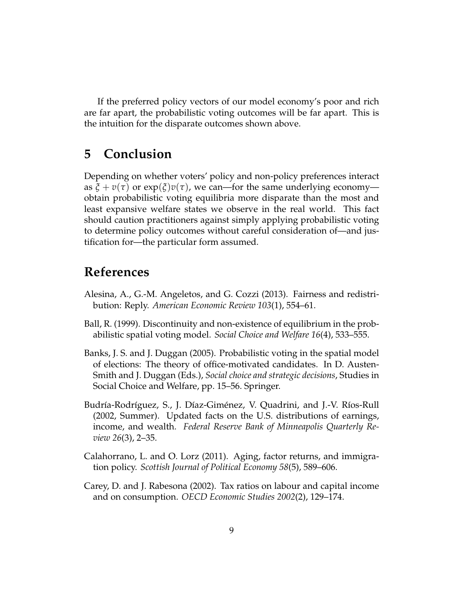If the preferred policy vectors of our model economy's poor and rich are far apart, the probabilistic voting outcomes will be far apart. This is the intuition for the disparate outcomes shown above.

## **5 Conclusion**

Depending on whether voters' policy and non-policy preferences interact as  $\xi + v(\tau)$  or  $exp(\xi)v(\tau)$ , we can—for the same underlying economy obtain probabilistic voting equilibria more disparate than the most and least expansive welfare states we observe in the real world. This fact should caution practitioners against simply applying probabilistic voting to determine policy outcomes without careful consideration of—and justification for—the particular form assumed.

## **References**

- <span id="page-8-2"></span>Alesina, A., G.-M. Angeletos, and G. Cozzi (2013). Fairness and redistribution: Reply. *American Economic Review 103*(1), 554–61.
- <span id="page-8-0"></span>Ball, R. (1999). Discontinuity and non-existence of equilibrium in the probabilistic spatial voting model. *Social Choice and Welfare 16*(4), 533–555.
- <span id="page-8-1"></span>Banks, J. S. and J. Duggan (2005). Probabilistic voting in the spatial model of elections: The theory of office-motivated candidates. In D. Austen-Smith and J. Duggan (Eds.), *Social choice and strategic decisions*, Studies in Social Choice and Welfare, pp. 15–56. Springer.
- <span id="page-8-5"></span>Budría-Rodríguez, S., J. Díaz-Giménez, V. Quadrini, and J.-V. Ríos-Rull (2002, Summer). Updated facts on the U.S. distributions of earnings, income, and wealth. *Federal Reserve Bank of Minneapolis Quarterly Review 26*(3), 2–35.
- <span id="page-8-3"></span>Calahorrano, L. and O. Lorz (2011). Aging, factor returns, and immigration policy. *Scottish Journal of Political Economy 58*(5), 589–606.
- <span id="page-8-4"></span>Carey, D. and J. Rabesona (2002). Tax ratios on labour and capital income and on consumption. *OECD Economic Studies 2002*(2), 129–174.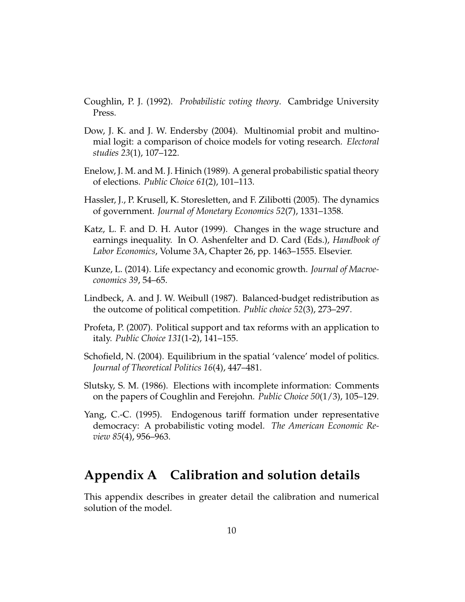- <span id="page-9-7"></span>Coughlin, P. J. (1992). *Probabilistic voting theory*. Cambridge University Press.
- <span id="page-9-9"></span>Dow, J. K. and J. W. Endersby (2004). Multinomial probit and multinomial logit: a comparison of choice models for voting research. *Electoral studies 23*(1), 107–122.
- <span id="page-9-6"></span>Enelow, J. M. and M. J. Hinich (1989). A general probabilistic spatial theory of elections. *Public Choice 61*(2), 101–113.
- <span id="page-9-4"></span>Hassler, J., P. Krusell, K. Storesletten, and F. Zilibotti (2005). The dynamics of government. *Journal of Monetary Economics 52*(7), 1331–1358.
- <span id="page-9-10"></span>Katz, L. F. and D. H. Autor (1999). Changes in the wage structure and earnings inequality. In O. Ashenfelter and D. Card (Eds.), *Handbook of Labor Economics*, Volume 3A, Chapter 26, pp. 1463–1555. Elsevier.
- <span id="page-9-5"></span>Kunze, L. (2014). Life expectancy and economic growth. *Journal of Macroeconomics 39*, 54–65.
- <span id="page-9-0"></span>Lindbeck, A. and J. W. Weibull (1987). Balanced-budget redistribution as the outcome of political competition. *Public choice 52*(3), 273–297.
- <span id="page-9-1"></span>Profeta, P. (2007). Political support and tax reforms with an application to italy. *Public Choice 131*(1-2), 141–155.
- <span id="page-9-8"></span>Schofield, N. (2004). Equilibrium in the spatial 'valence' model of politics. *Journal of Theoretical Politics 16*(4), 447–481.
- <span id="page-9-2"></span>Slutsky, S. M. (1986). Elections with incomplete information: Comments on the papers of Coughlin and Ferejohn. *Public Choice 50*(1/3), 105–129.
- <span id="page-9-3"></span>Yang, C.-C. (1995). Endogenous tariff formation under representative democracy: A probabilistic voting model. *The American Economic Review 85*(4), 956–963.

## **Appendix A Calibration and solution details**

This appendix describes in greater detail the calibration and numerical solution of the model.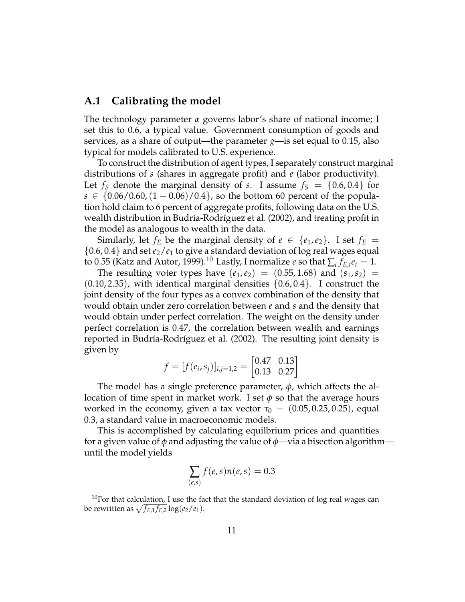### <span id="page-10-0"></span>**A.1 Calibrating the model**

The technology parameter *α* governs labor's share of national income; I set this to 0.6, a typical value. Government consumption of goods and services, as a share of output—the parameter *g*—is set equal to 0.15, also typical for models calibrated to U.S. experience.

To construct the distribution of agent types, I separately construct marginal distributions of *s* (shares in aggregate profit) and *e* (labor productivity). Let  $f<sub>S</sub>$  denote the marginal density of *s*. I assume  $f<sub>S</sub> = \{0.6, 0.4\}$  for *s* ∈ {0.06/0.60,  $(1 - 0.06)/0.4$ }, so the bottom 60 percent of the population hold claim to 6 percent of aggregate profits, following data on the U.S. wealth distribution in Budría-Rodríguez et al. [\(2002\)](#page-8-5), and treating profit in the model as analogous to wealth in the data.

Similarly, let  $f_E$  be the marginal density of  $e \in \{e_1, e_2\}$ . I set  $f_E =$  $\{0.6, 0.4\}$  and set  $e_2/e_1$  to give a standard deviation of log real wages equal to 0.55 [\(Katz and Autor,](#page-9-10) [1999\)](#page-9-10).<sup>10</sup> Lastly, I normalize  $e$  so that  $\sum_i f_{E,i}e_i = 1$ .

The resulting voter types have  $(e_1, e_2) = (0.55, 1.68)$  and  $(s_1, s_2) =$  $(0.10, 2.35)$ , with identical marginal densities  $\{0.6, 0.4\}$ . I construct the joint density of the four types as a convex combination of the density that would obtain under zero correlation between *e* and *s* and the density that would obtain under perfect correlation. The weight on the density under perfect correlation is 0.47, the correlation between wealth and earnings reported in Budría-Rodríguez et al. [\(2002\)](#page-8-5). The resulting joint density is given by

$$
f = [f(e_i, s_j)]_{i,j=1,2} = \begin{bmatrix} 0.47 & 0.13 \\ 0.13 & 0.27 \end{bmatrix}
$$

The model has a single preference parameter, *φ*, which affects the allocation of time spent in market work. I set *φ* so that the average hours worked in the economy, given a tax vector  $\tau_0 = (0.05, 0.25, 0.25)$ , equal 0.3, a standard value in macroeconomic models.

This is accomplished by calculating equilbrium prices and quantities for a given value of *φ* and adjusting the value of *φ*—via a bisection algorithm until the model yields

$$
\sum_{(e,s)} f(e,s)n(e,s) = 0.3
$$

 $10$  For that calculation, I use the fact that the standard deviation of log real wages can be rewritten as  $\sqrt{f_{E,1} f_{E,2}} \log(e_2/e_1)$ .